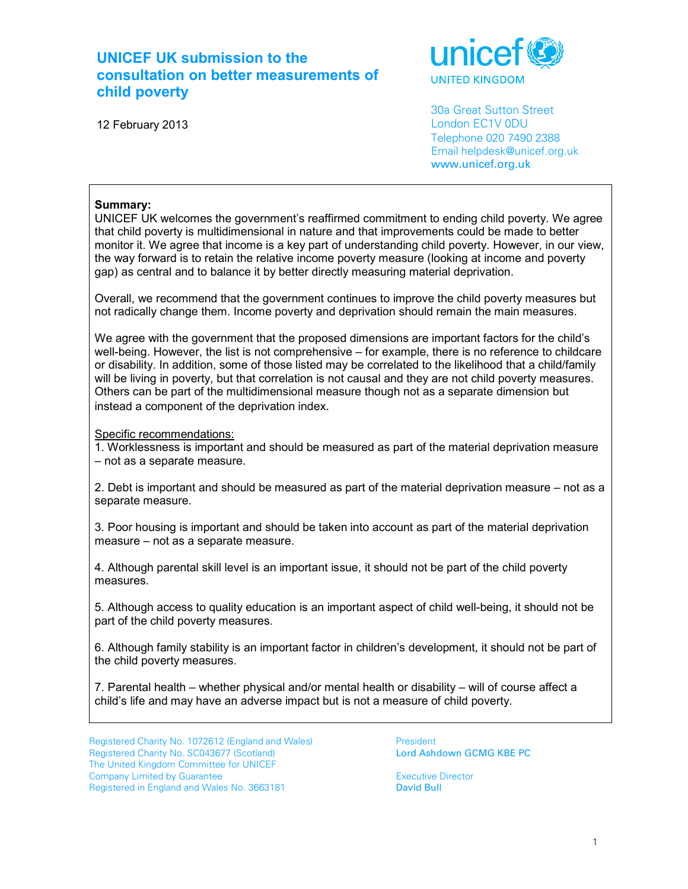# **UNICEF UK submission to the consultation on better measurements of child poverty**



12 February 2013

 30a Great Sutton Street London EC1V 0DU Telephone 020 7490 2388 Email helpdesk@unicef.org.uk www.unicef.org.uk

# **Summary:**

UNICEF UK welcomes the government's reaffirmed commitment to ending child poverty. We agree that child poverty is multidimensional in nature and that improvements could be made to better monitor it. We agree that income is a key part of understanding child poverty. However, in our view, the way forward is to retain the relative income poverty measure (looking at income and poverty gap) as central and to balance it by better directly measuring material deprivation.

Overall, we recommend that the government continues to improve the child poverty measures but not radically change them. Income poverty and deprivation should remain the main measures.

We agree with the government that the proposed dimensions are important factors for the child's well-being. However, the list is not comprehensive – for example, there is no reference to childcare or disability. In addition, some of those listed may be correlated to the likelihood that a child/family will be living in poverty, but that correlation is not causal and they are not child poverty measures. Others can be part of the multidimensional measure though not as a separate dimension but instead a component of the deprivation index.

Specific recommendations:

1. Worklessness is important and should be measured as part of the material deprivation measure – not as a separate measure.

2. Debt is important and should be measured as part of the material deprivation measure – not as a separate measure.

3. Poor housing is important and should be taken into account as part of the material deprivation measure – not as a separate measure.

4. Although parental skill level is an important issue, it should not be part of the child poverty measures.

5. Although access to quality education is an important aspect of child well-being, it should not be part of the child poverty measures.

6. Although family stability is an important factor in children's development, it should not be part of the child poverty measures.

7. Parental health – whether physical and/or mental health or disability – will of course affect a child's life and may have an adverse impact but is not a measure of child poverty.

Registered Charity No. 1072612 (England and Wales)<br>
Registered Charity No. SC043677 (Scotland)<br> **President Lord Ashdown GCMG KBE PC** Registered Charity No. SC043677 (Scotland) The United Kingdom Committee for UNICEF Company Limited by Guarantee<br>
Registered in England and Wales No. 3663181 **Executive Director**<br> **David Bull** Registered in England and Wales No. 3663181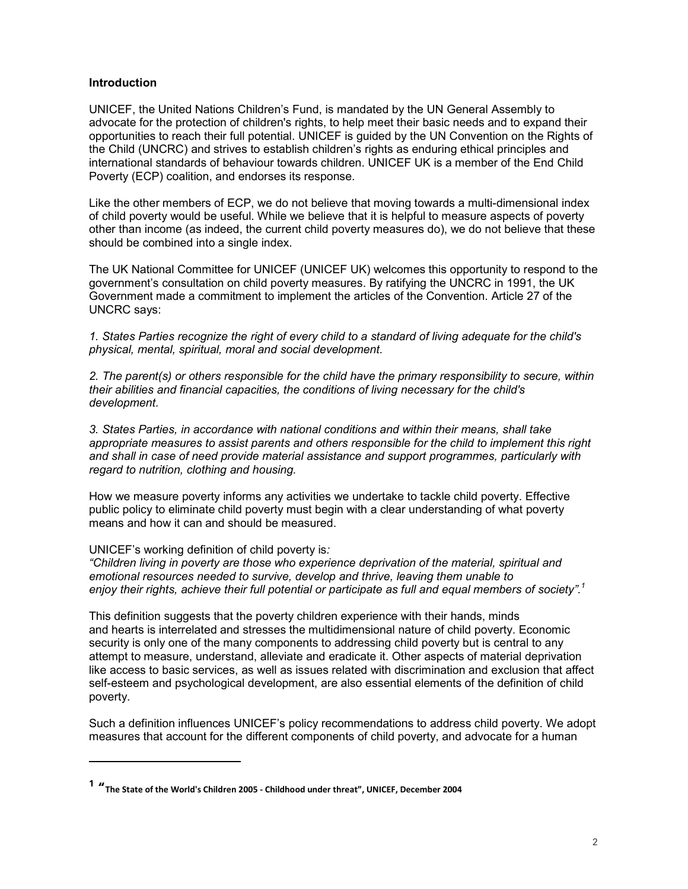#### **Introduction**

UNICEF, the United Nations Children's Fund, is mandated by the UN General Assembly to advocate for the protection of children's rights, to help meet their basic needs and to expand their opportunities to reach their full potential. UNICEF is guided by the UN Convention on the Rights of the Child (UNCRC) and strives to establish children's rights as enduring ethical principles and international standards of behaviour towards children. UNICEF UK is a member of the End Child Poverty (ECP) coalition, and endorses its response.

Like the other members of ECP, we do not believe that moving towards a multi-dimensional index of child poverty would be useful. While we believe that it is helpful to measure aspects of poverty other than income (as indeed, the current child poverty measures do), we do not believe that these should be combined into a single index.

The UK National Committee for UNICEF (UNICEF UK) welcomes this opportunity to respond to the government's consultation on child poverty measures. By ratifying the UNCRC in 1991, the UK Government made a commitment to implement the articles of the Convention. Article 27 of the UNCRC says:

*1. States Parties recognize the right of every child to a standard of living adequate for the child's physical, mental, spiritual, moral and social development.* 

*2. The parent(s) or others responsible for the child have the primary responsibility to secure, within their abilities and financial capacities, the conditions of living necessary for the child's development.* 

*3. States Parties, in accordance with national conditions and within their means, shall take appropriate measures to assist parents and others responsible for the child to implement this right and shall in case of need provide material assistance and support programmes, particularly with regard to nutrition, clothing and housing.* 

How we measure poverty informs any activities we undertake to tackle child poverty. Effective public policy to eliminate child poverty must begin with a clear understanding of what poverty means and how it can and should be measured.

#### UNICEF's working definition of child poverty is*:*

 $\overline{a}$ 

*"Children living in poverty are those who experience deprivation of the material, spiritual and emotional resources needed to survive, develop and thrive, leaving them unable to enjoy their rights, achieve their full potential or participate as full and equal members of society".<sup>1</sup>*

This definition suggests that the poverty children experience with their hands, minds and hearts is interrelated and stresses the multidimensional nature of child poverty. Economic security is only one of the many components to addressing child poverty but is central to any attempt to measure, understand, alleviate and eradicate it. Other aspects of material deprivation like access to basic services, as well as issues related with discrimination and exclusion that affect self-esteem and psychological development, are also essential elements of the definition of child poverty.

Such a definition influences UNICEF's policy recommendations to address child poverty. We adopt measures that account for the different components of child poverty, and advocate for a human

**<sup>1</sup> "The State of the World's Children 2005 - Childhood under threat", UNICEF, December 2004**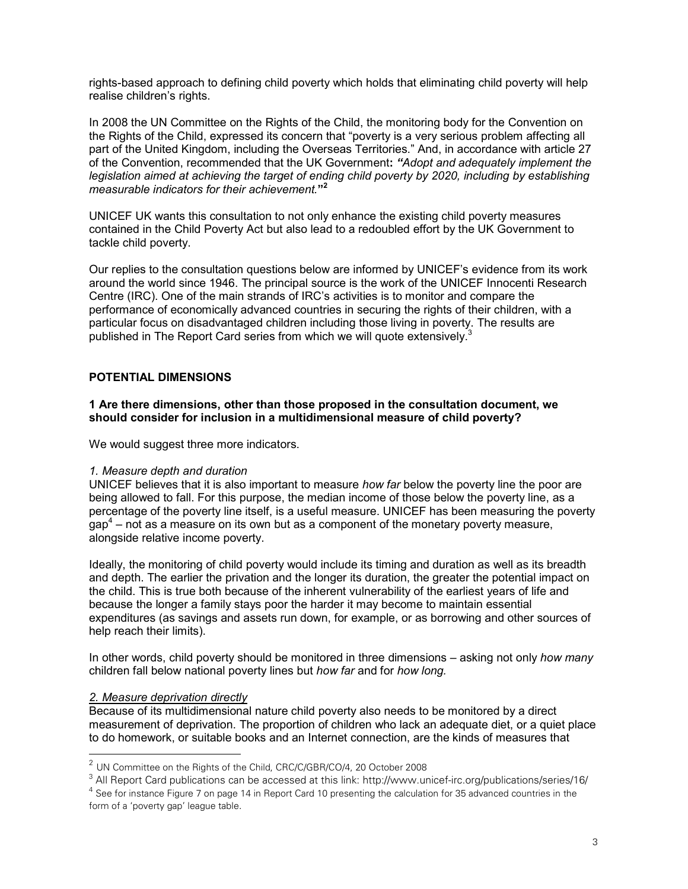rights-based approach to defining child poverty which holds that eliminating child poverty will help realise children's rights.

In 2008 the UN Committee on the Rights of the Child, the monitoring body for the Convention on the Rights of the Child, expressed its concern that "poverty is a very serious problem affecting all part of the United Kingdom, including the Overseas Territories." And, in accordance with article 27 of the Convention, recommended that the UK Government**:** *"Adopt and adequately implement the*  legislation aimed at achieving the target of ending child poverty by 2020, including by establishing *measurable indicators for their achievement.***" 2**

UNICEF UK wants this consultation to not only enhance the existing child poverty measures contained in the Child Poverty Act but also lead to a redoubled effort by the UK Government to tackle child poverty.

Our replies to the consultation questions below are informed by UNICEF's evidence from its work around the world since 1946. The principal source is the work of the UNICEF Innocenti Research Centre (IRC). One of the main strands of IRC's activities is to monitor and compare the performance of economically advanced countries in securing the rights of their children, with a particular focus on disadvantaged children including those living in poverty. The results are published in The Report Card series from which we will quote extensively. $3$ 

# **POTENTIAL DIMENSIONS**

#### **1 Are there dimensions, other than those proposed in the consultation document, we should consider for inclusion in a multidimensional measure of child poverty?**

We would suggest three more indicators.

#### *1. Measure depth and duration*

UNICEF believes that it is also important to measure *how far* below the poverty line the poor are being allowed to fall. For this purpose, the median income of those below the poverty line, as a percentage of the poverty line itself, is a useful measure. UNICEF has been measuring the poverty  $\text{gap}^4$  – not as a measure on its own but as a component of the monetary poverty measure, alongside relative income poverty.

Ideally, the monitoring of child poverty would include its timing and duration as well as its breadth and depth. The earlier the privation and the longer its duration, the greater the potential impact on the child. This is true both because of the inherent vulnerability of the earliest years of life and because the longer a family stays poor the harder it may become to maintain essential expenditures (as savings and assets run down, for example, or as borrowing and other sources of help reach their limits).

In other words, child poverty should be monitored in three dimensions – asking not only *how many*  children fall below national poverty lines but *how far* and for *how long.* 

# *2. Measure deprivation directly*

Because of its multidimensional nature child poverty also needs to be monitored by a direct measurement of deprivation. The proportion of children who lack an adequate diet, or a quiet place to do homework, or suitable books and an Internet connection, are the kinds of measures that

 2 UN Committee on the Rights of the Child, CRC/C/GBR/CO/4, 20 October 2008

 $^{\rm 3}$  All Report Card publications can be accessed at this link: http://www.unicef-irc.org/publications/series/16/

 $^4$  See for instance Figure 7 on page 14 in Report Card 10 presenting the calculation for 35 advanced countries in the form of a 'poverty gap' league table.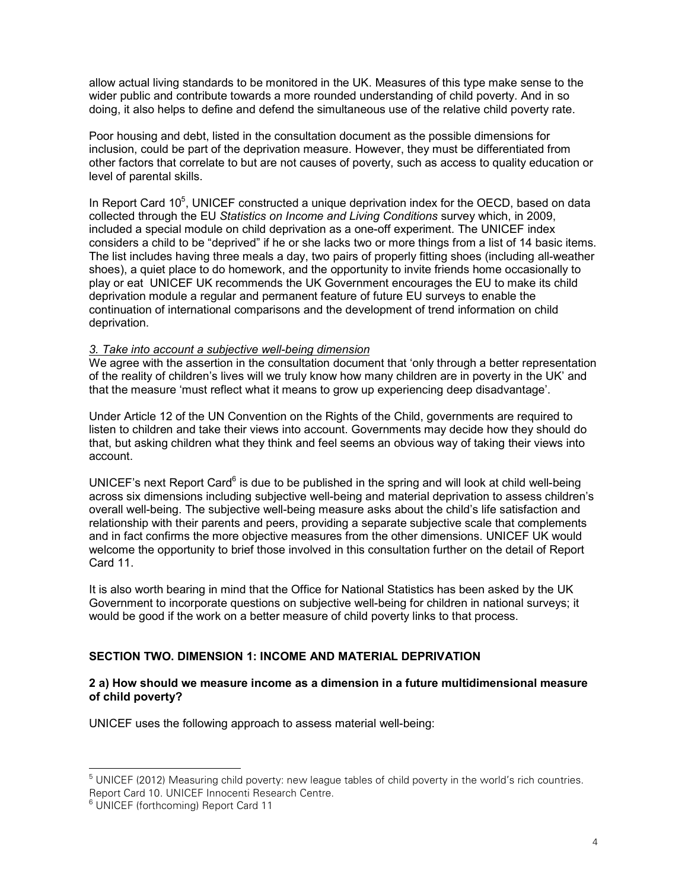allow actual living standards to be monitored in the UK. Measures of this type make sense to the wider public and contribute towards a more rounded understanding of child poverty. And in so doing, it also helps to define and defend the simultaneous use of the relative child poverty rate.

Poor housing and debt, listed in the consultation document as the possible dimensions for inclusion, could be part of the deprivation measure. However, they must be differentiated from other factors that correlate to but are not causes of poverty, such as access to quality education or level of parental skills.

In Report Card 10<sup>5</sup>, UNICEF constructed a unique deprivation index for the OECD, based on data collected through the EU *Statistics on Income and Living Conditions* survey which, in 2009, included a special module on child deprivation as a one-off experiment. The UNICEF index considers a child to be "deprived" if he or she lacks two or more things from a list of 14 basic items. The list includes having three meals a day, two pairs of properly fitting shoes (including all-weather shoes), a quiet place to do homework, and the opportunity to invite friends home occasionally to play or eat UNICEF UK recommends the UK Government encourages the EU to make its child deprivation module a regular and permanent feature of future EU surveys to enable the continuation of international comparisons and the development of trend information on child deprivation.

#### *3. Take into account a subjective well-being dimension*

We agree with the assertion in the consultation document that 'only through a better representation of the reality of children's lives will we truly know how many children are in poverty in the UK' and that the measure 'must reflect what it means to grow up experiencing deep disadvantage'.

Under Article 12 of the UN Convention on the Rights of the Child, governments are required to listen to children and take their views into account. Governments may decide how they should do that, but asking children what they think and feel seems an obvious way of taking their views into account.

UNICEF's next Report Card $6$  is due to be published in the spring and will look at child well-being across six dimensions including subjective well-being and material deprivation to assess children's overall well-being. The subjective well-being measure asks about the child's life satisfaction and relationship with their parents and peers, providing a separate subjective scale that complements and in fact confirms the more objective measures from the other dimensions. UNICEF UK would welcome the opportunity to brief those involved in this consultation further on the detail of Report Card 11.

It is also worth bearing in mind that the Office for National Statistics has been asked by the UK Government to incorporate questions on subjective well-being for children in national surveys; it would be good if the work on a better measure of child poverty links to that process.

# **SECTION TWO. DIMENSION 1: INCOME AND MATERIAL DEPRIVATION**

#### **2 a) How should we measure income as a dimension in a future multidimensional measure of child poverty?**

UNICEF uses the following approach to assess material well-being:

 $\overline{a}$ 

 $^5$  UNICEF (2012) Measuring child poverty: new league tables of child poverty in the world's rich countries. Report Card 10. UNICEF Innocenti Research Centre.

<sup>6</sup> UNICEF (forthcoming) Report Card 11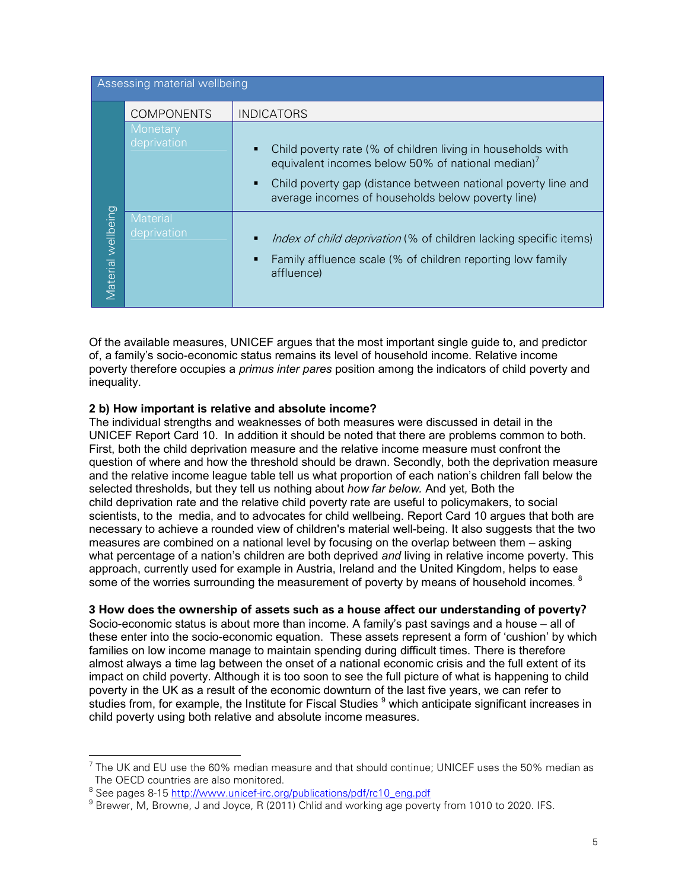| Assessing material wellbeing |                                |                                                                                                                                                                                                                                                    |  |
|------------------------------|--------------------------------|----------------------------------------------------------------------------------------------------------------------------------------------------------------------------------------------------------------------------------------------------|--|
|                              | <b>COMPONENTS</b>              | <b>INDICATORS</b>                                                                                                                                                                                                                                  |  |
| Material wellbeing           | <b>Monetary</b><br>deprivation | Child poverty rate (% of children living in households with<br>equivalent incomes below 50% of national median) <sup>7</sup><br>Child poverty gap (distance between national poverty line and<br>average incomes of households below poverty line) |  |
|                              | <b>Material</b><br>deprivation | <i>Index of child deprivation</i> (% of children lacking specific items)<br>Family affluence scale (% of children reporting low family<br>affluence)                                                                                               |  |

Of the available measures, UNICEF argues that the most important single guide to, and predictor of, a family's socio-economic status remains its level of household income. Relative income poverty therefore occupies a *primus inter pares* position among the indicators of child poverty and inequality.

# **2 b) How important is relative and absolute income?**

The individual strengths and weaknesses of both measures were discussed in detail in the UNICEF Report Card 10. In addition it should be noted that there are problems common to both. First, both the child deprivation measure and the relative income measure must confront the question of where and how the threshold should be drawn. Secondly, both the deprivation measure and the relative income league table tell us what proportion of each nation's children fall below the selected thresholds, but they tell us nothing about *how far below.* And yet*,* Both the child deprivation rate and the relative child poverty rate are useful to policymakers, to social scientists, to the media, and to advocates for child wellbeing. Report Card 10 argues that both are necessary to achieve a rounded view of children's material well-being. It also suggests that the two measures are combined on a national level by focusing on the overlap between them – asking what percentage of a nation's children are both deprived *and* living in relative income poverty. This approach, currently used for example in Austria, Ireland and the United Kingdom, helps to ease some of the worries surrounding the measurement of poverty by means of household incomes.  $^8$ 

# **3 How does the ownership of assets such as a house affect our understanding of poverty?**

Socio-economic status is about more than income. A family's past savings and a house – all of these enter into the socio-economic equation. These assets represent a form of 'cushion' by which families on low income manage to maintain spending during difficult times. There is therefore almost always a time lag between the onset of a national economic crisis and the full extent of its impact on child poverty. Although it is too soon to see the full picture of what is happening to child poverty in the UK as a result of the economic downturn of the last five years, we can refer to studies from, for example, the Institute for Fiscal Studies  $9$  which anticipate significant increases in child poverty using both relative and absolute income measures.

 $\overline{C}$  The UK and EU use the 60% median measure and that should continue; UNICEF uses the 50% median as  $\overline{C}$ The OECD countries are also monitored.

<sup>&</sup>lt;sup>8</sup> See pages 8-15 <u>http://www.unicef-irc.org/publications/pdf/rc10\_eng.pdf</u>

 $^9$  Brewer, M, Browne, J and Joyce, R (2011) Chlid and working age poverty from 1010 to 2020. IFS.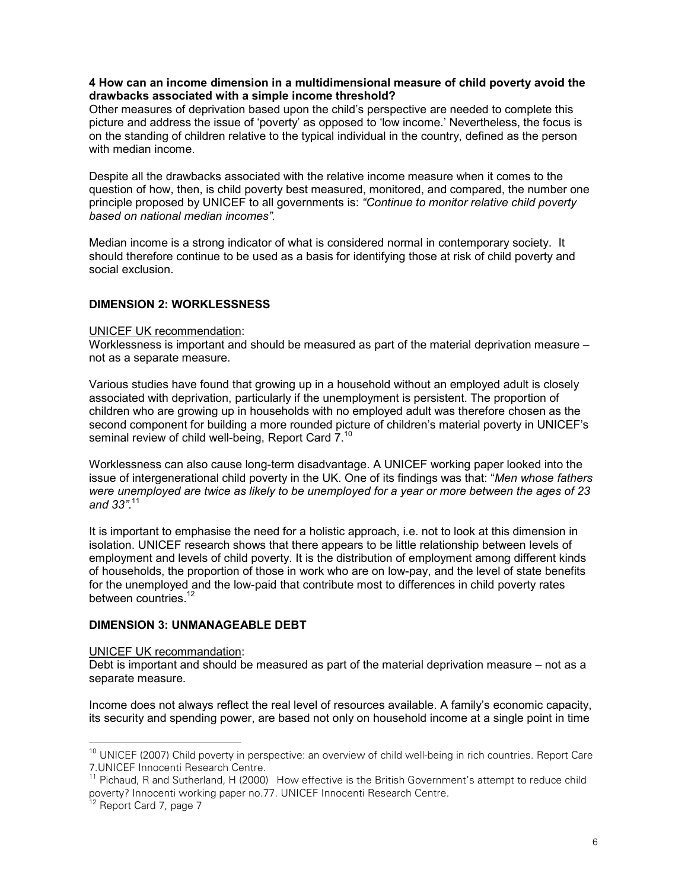#### **4 How can an income dimension in a multidimensional measure of child poverty avoid the drawbacks associated with a simple income threshold?**

Other measures of deprivation based upon the child's perspective are needed to complete this picture and address the issue of 'poverty' as opposed to 'low income.' Nevertheless, the focus is on the standing of children relative to the typical individual in the country, defined as the person with median income.

Despite all the drawbacks associated with the relative income measure when it comes to the question of how, then, is child poverty best measured, monitored, and compared, the number one principle proposed by UNICEF to all governments is: *"Continue to monitor relative child poverty based on national median incomes".* 

Median income is a strong indicator of what is considered normal in contemporary society. It should therefore continue to be used as a basis for identifying those at risk of child poverty and social exclusion.

# **DIMENSION 2: WORKLESSNESS**

#### UNICEF UK recommendation:

Worklessness is important and should be measured as part of the material deprivation measure – not as a separate measure.

Various studies have found that growing up in a household without an employed adult is closely associated with deprivation, particularly if the unemployment is persistent. The proportion of children who are growing up in households with no employed adult was therefore chosen as the second component for building a more rounded picture of children's material poverty in UNICEF's seminal review of child well-being, Report Card 7.<sup>10</sup>

Worklessness can also cause long-term disadvantage. A UNICEF working paper looked into the issue of intergenerational child poverty in the UK. One of its findings was that: "*Men whose fathers were unemployed are twice as likely to be unemployed for a year or more between the ages of 23 and 33"*. 11

It is important to emphasise the need for a holistic approach, i.e. not to look at this dimension in isolation. UNICEF research shows that there appears to be little relationship between levels of employment and levels of child poverty. It is the distribution of employment among different kinds of households, the proportion of those in work who are on low-pay, and the level of state benefits for the unemployed and the low-paid that contribute most to differences in child poverty rates between countries.<sup>12</sup>

# **DIMENSION 3: UNMANAGEABLE DEBT**

#### UNICEF UK recommandation:

Debt is important and should be measured as part of the material deprivation measure – not as a separate measure.

Income does not always reflect the real level of resources available. A family's economic capacity, its security and spending power, are based not only on household income at a single point in time

-

<sup>&</sup>lt;sup>10</sup> UNICEF (2007) Child poverty in perspective: an overview of child well-being in rich countries. Report Care 7.UNICEF Innocenti Research Centre.

<sup>&</sup>lt;sup>11</sup> Pichaud, R and Sutherland, H (2000) How effective is the British Government's attempt to reduce child poverty? Innocenti working paper no.77. UNICEF Innocenti Research Centre.

<sup>&</sup>lt;sup>12</sup> Report Card 7, page 7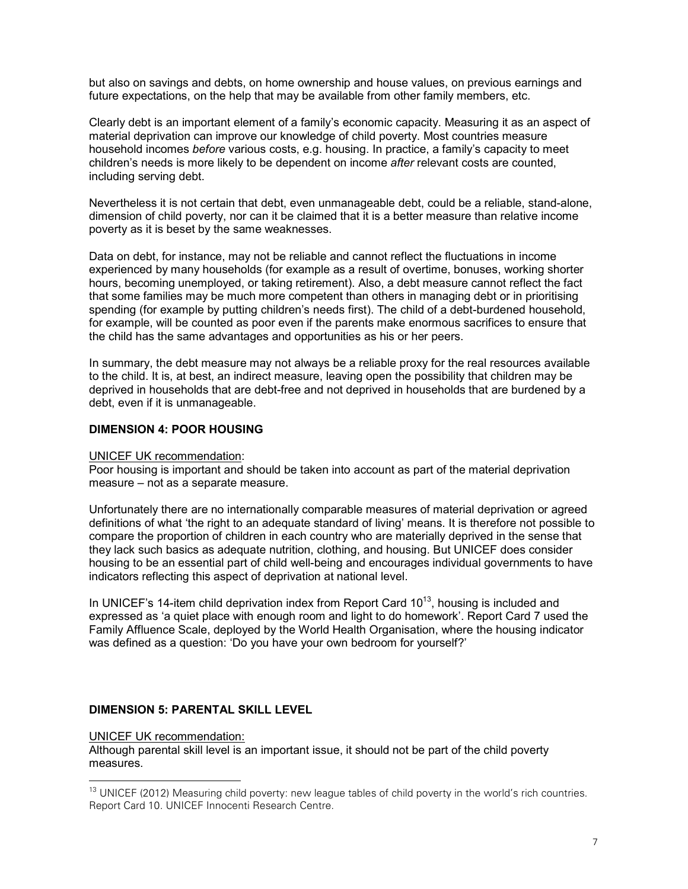but also on savings and debts, on home ownership and house values, on previous earnings and future expectations, on the help that may be available from other family members, etc.

Clearly debt is an important element of a family's economic capacity. Measuring it as an aspect of material deprivation can improve our knowledge of child poverty. Most countries measure household incomes *before* various costs, e.g. housing. In practice, a family's capacity to meet children's needs is more likely to be dependent on income *after* relevant costs are counted, including serving debt.

Nevertheless it is not certain that debt, even unmanageable debt, could be a reliable, stand-alone, dimension of child poverty, nor can it be claimed that it is a better measure than relative income poverty as it is beset by the same weaknesses.

Data on debt, for instance, may not be reliable and cannot reflect the fluctuations in income experienced by many households (for example as a result of overtime, bonuses, working shorter hours, becoming unemployed, or taking retirement). Also, a debt measure cannot reflect the fact that some families may be much more competent than others in managing debt or in prioritising spending (for example by putting children's needs first). The child of a debt-burdened household, for example, will be counted as poor even if the parents make enormous sacrifices to ensure that the child has the same advantages and opportunities as his or her peers.

In summary, the debt measure may not always be a reliable proxy for the real resources available to the child. It is, at best, an indirect measure, leaving open the possibility that children may be deprived in households that are debt-free and not deprived in households that are burdened by a debt, even if it is unmanageable.

#### **DIMENSION 4: POOR HOUSING**

#### UNICEF UK recommendation:

Poor housing is important and should be taken into account as part of the material deprivation measure – not as a separate measure.

Unfortunately there are no internationally comparable measures of material deprivation or agreed definitions of what 'the right to an adequate standard of living' means. It is therefore not possible to compare the proportion of children in each country who are materially deprived in the sense that they lack such basics as adequate nutrition, clothing, and housing. But UNICEF does consider housing to be an essential part of child well-being and encourages individual governments to have indicators reflecting this aspect of deprivation at national level.

In UNICEF's 14-item child deprivation index from Report Card  $10^{13}$ , housing is included and expressed as 'a quiet place with enough room and light to do homework'. Report Card 7 used the Family Affluence Scale, deployed by the World Health Organisation, where the housing indicator was defined as a question: 'Do you have your own bedroom for yourself?'

#### **DIMENSION 5: PARENTAL SKILL LEVEL**

#### UNICEF UK recommendation:

 $\overline{a}$ 

Although parental skill level is an important issue, it should not be part of the child poverty measures.

<sup>&</sup>lt;sup>13</sup> UNICEF (2012) Measuring child poverty: new league tables of child poverty in the world's rich countries. Report Card 10. UNICEF Innocenti Research Centre.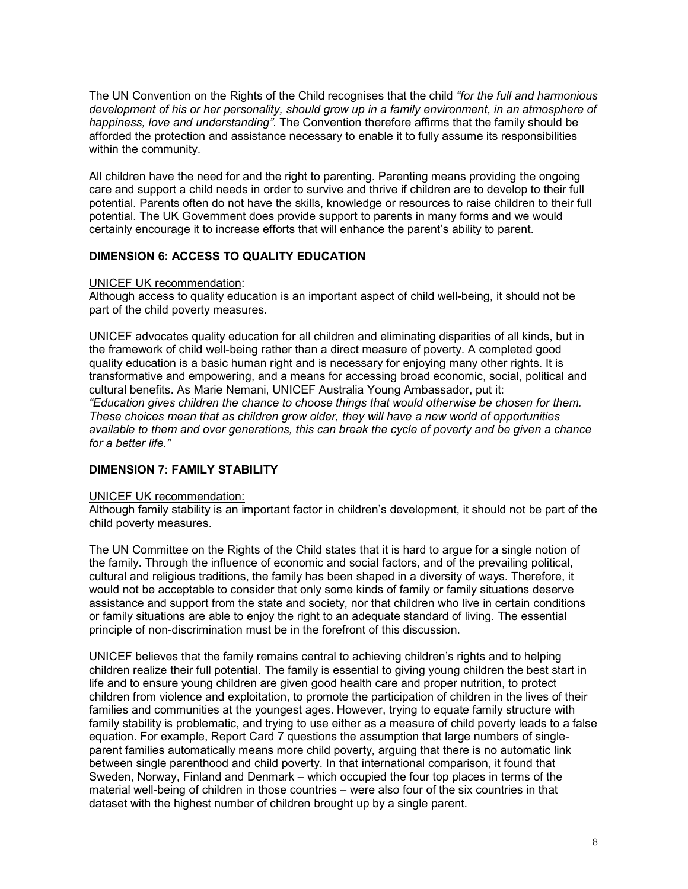The UN Convention on the Rights of the Child recognises that the child *"for the full and harmonious development of his or her personality, should grow up in a family environment, in an atmosphere of happiness, love and understanding"*. The Convention therefore affirms that the family should be afforded the protection and assistance necessary to enable it to fully assume its responsibilities within the community.

All children have the need for and the right to parenting. Parenting means providing the ongoing care and support a child needs in order to survive and thrive if children are to develop to their full potential. Parents often do not have the skills, knowledge or resources to raise children to their full potential. The UK Government does provide support to parents in many forms and we would certainly encourage it to increase efforts that will enhance the parent's ability to parent.

# **DIMENSION 6: ACCESS TO QUALITY EDUCATION**

#### UNICEF UK recommendation:

Although access to quality education is an important aspect of child well-being, it should not be part of the child poverty measures.

UNICEF advocates quality education for all children and eliminating disparities of all kinds, but in the framework of child well-being rather than a direct measure of poverty. A completed good quality education is a basic human right and is necessary for enjoying many other rights. It is transformative and empowering, and a means for accessing broad economic, social, political and cultural benefits. As Marie Nemani, UNICEF Australia Young Ambassador, put it: *"Education gives children the chance to choose things that would otherwise be chosen for them. These choices mean that as children grow older, they will have a new world of opportunities available to them and over generations, this can break the cycle of poverty and be given a chance for a better life."* 

# **DIMENSION 7: FAMILY STABILITY**

#### UNICEF UK recommendation:

Although family stability is an important factor in children's development, it should not be part of the child poverty measures.

The UN Committee on the Rights of the Child states that it is hard to argue for a single notion of the family. Through the influence of economic and social factors, and of the prevailing political, cultural and religious traditions, the family has been shaped in a diversity of ways. Therefore, it would not be acceptable to consider that only some kinds of family or family situations deserve assistance and support from the state and society, nor that children who live in certain conditions or family situations are able to enjoy the right to an adequate standard of living. The essential principle of non-discrimination must be in the forefront of this discussion.

UNICEF believes that the family remains central to achieving children's rights and to helping children realize their full potential. The family is essential to giving young children the best start in life and to ensure young children are given good health care and proper nutrition, to protect children from violence and exploitation, to promote the participation of children in the lives of their families and communities at the youngest ages. However, trying to equate family structure with family stability is problematic, and trying to use either as a measure of child poverty leads to a false equation. For example, Report Card 7 questions the assumption that large numbers of singleparent families automatically means more child poverty, arguing that there is no automatic link between single parenthood and child poverty. In that international comparison, it found that Sweden, Norway, Finland and Denmark – which occupied the four top places in terms of the material well-being of children in those countries – were also four of the six countries in that dataset with the highest number of children brought up by a single parent.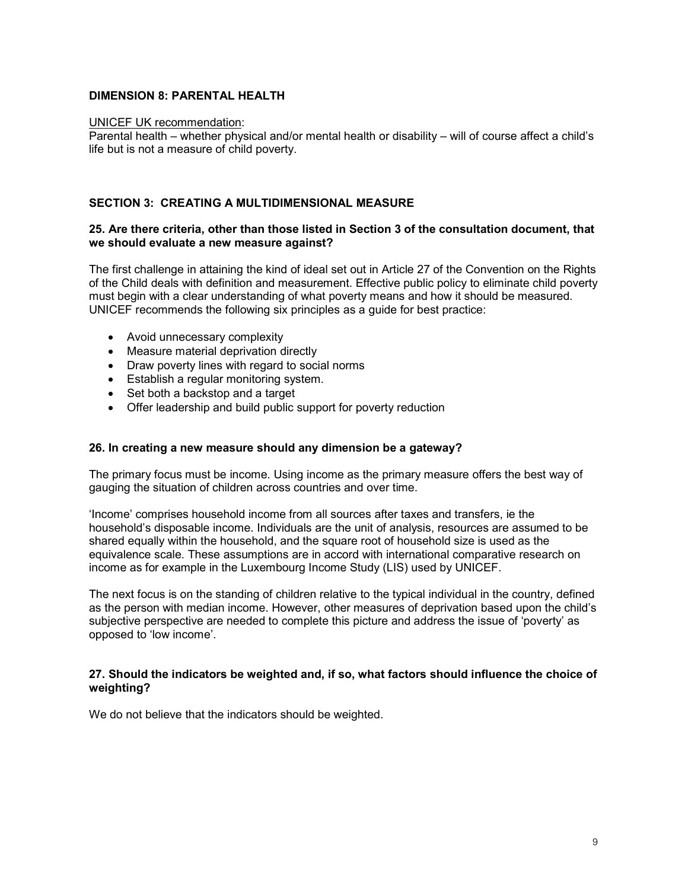# **DIMENSION 8: PARENTAL HEALTH**

#### UNICEF UK recommendation:

Parental health – whether physical and/or mental health or disability – will of course affect a child's life but is not a measure of child poverty.

#### **SECTION 3: CREATING A MULTIDIMENSIONAL MEASURE**

#### **25. Are there criteria, other than those listed in Section 3 of the consultation document, that we should evaluate a new measure against?**

The first challenge in attaining the kind of ideal set out in Article 27 of the Convention on the Rights of the Child deals with definition and measurement. Effective public policy to eliminate child poverty must begin with a clear understanding of what poverty means and how it should be measured. UNICEF recommends the following six principles as a guide for best practice:

- Avoid unnecessary complexity
- Measure material deprivation directly
- Draw poverty lines with regard to social norms
- Establish a regular monitoring system.
- Set both a backstop and a target
- Offer leadership and build public support for poverty reduction

#### **26. In creating a new measure should any dimension be a gateway?**

The primary focus must be income. Using income as the primary measure offers the best way of gauging the situation of children across countries and over time.

'Income' comprises household income from all sources after taxes and transfers, ie the household's disposable income. Individuals are the unit of analysis, resources are assumed to be shared equally within the household, and the square root of household size is used as the equivalence scale. These assumptions are in accord with international comparative research on income as for example in the Luxembourg Income Study (LIS) used by UNICEF.

The next focus is on the standing of children relative to the typical individual in the country, defined as the person with median income. However, other measures of deprivation based upon the child's subjective perspective are needed to complete this picture and address the issue of 'poverty' as opposed to 'low income'.

#### **27. Should the indicators be weighted and, if so, what factors should influence the choice of weighting?**

We do not believe that the indicators should be weighted.